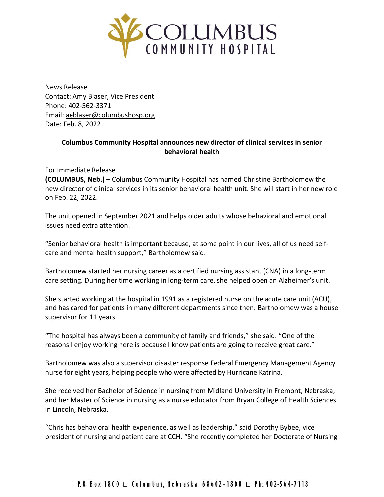

News Release Contact: Amy Blaser, Vice President Phone: 402-562-3371 Email: [aeblaser@columbushosp.org](mailto:aeblaser@columbushosp.org) Date: Feb. 8, 2022

## **Columbus Community Hospital announces new director of clinical services in senior behavioral health**

## For Immediate Release

**(COLUMBUS, Neb.) –** Columbus Community Hospital has named Christine Bartholomew the new director of clinical services in its senior behavioral health unit. She will start in her new role on Feb. 22, 2022.

The unit opened in September 2021 and helps older adults whose behavioral and emotional issues need extra attention.

"Senior behavioral health is important because, at some point in our lives, all of us need selfcare and mental health support," Bartholomew said.

Bartholomew started her nursing career as a certified nursing assistant (CNA) in a long-term care setting. During her time working in long-term care, she helped open an Alzheimer's unit.

She started working at the hospital in 1991 as a registered nurse on the acute care unit (ACU), and has cared for patients in many different departments since then. Bartholomew was a house supervisor for 11 years.

"The hospital has always been a community of family and friends," she said. "One of the reasons I enjoy working here is because I know patients are going to receive great care."

Bartholomew was also a supervisor disaster response Federal Emergency Management Agency nurse for eight years, helping people who were affected by Hurricane Katrina.

She received her Bachelor of Science in nursing from Midland University in Fremont, Nebraska, and her Master of Science in nursing as a nurse educator from Bryan College of Health Sciences in Lincoln, Nebraska.

"Chris has behavioral health experience, as well as leadership," said Dorothy Bybee, vice president of nursing and patient care at CCH. "She recently completed her Doctorate of Nursing